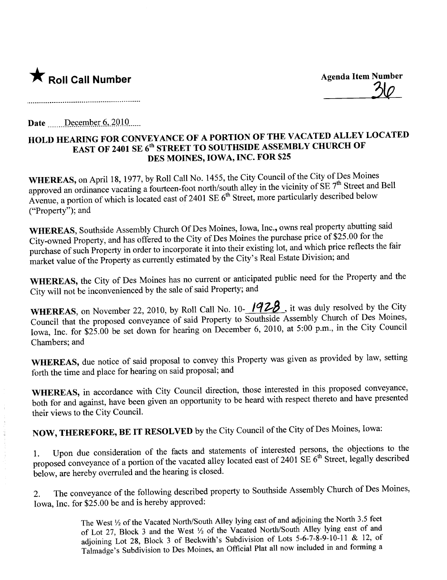

. The contract of the contract of the contract of the contract of the contract of  $\mathcal{Q}(\mathcal{Q})$ 

Date  $December 6, 2010$ 

## HOLD HEARING FOR CONVEYANCE OF A PORTION OF THE VACATED ALLEY LOCATED EAST OF 2401 SE 6<sup>th</sup> STREET TO SOUTHSIDE ASSEMBLY CHURCH OF DES MOINES, IOWA, INC. FOR \$25

**WHEREAS,** on April 18, 1977, by Roll Call No. 1455, the City Council of the City of Des Moines approved an ordinance vacating a fourteen-foot north/south alley in the vicinity of SE  $7<sup>th</sup>$  Street and Bell Avenue, a portion of which is located east of 2401 SE  $6<sup>th</sup>$  Street, more particularly described below ("Property"); and

WHEREAS, Southside Assembly Church Of Des Moines, Iowa, Inc., owns real property abutting said City-owned Property, and has offered to the City of Des Moines the purchase price of \$25.00 for the purchase of such Property in order to incorporate it into their existing lot, and which price reflects the fair market value of the Property as currently estimated by the City's Real Estate Division; and

WHEREAS, the City of Des Moines has no current or anticipated public need for the Property and the City will not be inconvenienced by the sale of said Property; and

WHEREAS, on November 22, 2010, by Roll Call No. 10- $1928$ , it was duly resolved by the City Council that the proposed conveyance of said Property to Southside Assembly Church of Des Moines, Iowa, Inc. for \$25.00 be set down for hearing on December 6, 2010, at 5:00 p.m., in the City Council Chambers; and

WHEREAS, due notice of said proposal to convey this Property was given as provided by law, setting forth the time and place for hearing on said proposal; and

WHEREAS, in accordance with City Council direction, those interested in this proposed conveyance, both for and against, have been given an opportunity to be heard with respect thereto and have presented their views to the City CounciL.

NOW, THEREFORE, BE IT RESOLVED by the City Council of the City of Des Moines, Iowa:

1. Upon due consideration of the facts and statements of interested persons, the objections to the proposed conveyance of a portion of the vacated alley located east of 2401 SE 6th Street, legally described below, are hereby overruled and the hearing is closed.

2. The conveyance of the following described property to Southside Assembly Church of Des Moines, Iowa, Inc. for \$25.00 be and is hereby approved:

> The West  $\frac{1}{2}$  of the Vacated North/South Alley lying east of and adjoining the North 3.5 feet of Lot 27, Block 3 and the West 1/2 of the Vacated North/South Alley lying east of and adjoining Lot 28, Block 3 of Beckwith's Subdivision of Lots 5-6-7-8-9-10-11 & 12, of Talmadge's Subdivision to Des Moines, an Official Plat all now included in and forming a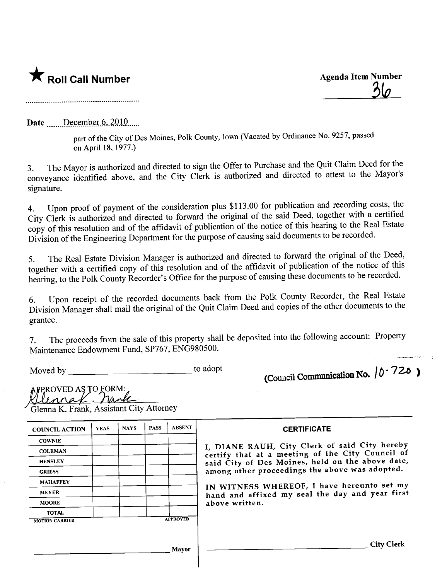## \* Roll Call Number Agenda Item Number

 $\overline{\mathcal{S}}$ 

Date  $\frac{\text{December } 6,2010}{\text{December } 6,2010}$ 

part of the City of Des Moines, Polk County, Iowa (Vacated by Ordinance No. 9257, passed on April 18, 1977.)

3. The Mayor is authorized and directed to sign the Offer to Purchase and the Quit Claim Deed for the conveyance identified above, and the City Clerk is authorized and directed to attest to the Mayor's signature.

4. Upon proof of payment of the consideration plus \$113.00 for publication and recording costs, the City Clerk is authorized and directed to forward the original of the said Deed, together with a certified copy of this resolution and of the affidavit of publication of the notice of this hearing to the Real Estate Division of the Engineering Department for the purpose of causing said documents to be recorded.

5. The Real Estate Division Manager is authorized and directed to forward the original of the Deed, together with a certified copy of this resolution and of the affidavit of publication of the notice of this hearing, to the Polk County Recorder's Office for the purpose of causing these documents to be recorded.

6. Upon receipt of the recorded documents back from the Polk County Recorder, the Real Estate Division Manager shall mail the original of the Quit Claim Deed and copies of the other documents to the grantee.

7. The proceeds from the sale of this property shall be deposited into the following account: Property Maintenance Endowment Fund, SP767, ENG980500.

Moved by the contract of the contract of the adopt to adopt

 $APPROVED AS TO FORM:$ 

(Council Communication No.  $/0.720$ )

| Glennak. nank                            |  |
|------------------------------------------|--|
| Glenna K. Frank, Assistant City Attorney |  |
| $\sim$                                   |  |

COUNCIL ACTION | YEAS | NAYS | PASS | ABSENT | CERTIFICATE **COWNIE** HENSLEY MAHAFFEY MEYER MOORE **TOTAL** MOTION CARRIED **APPROVED** 

COLEMAN **I**, DIANE RAUH, City Clerk of said City hereby certify that at a meeting of the City Council of said City of Des Moines, held on the above date, GRIESS among other proceedings the above was adopted.

> IN WITNESS WHEREOF, I have hereunto set my hand and affixed my seal the day and year first above written.

Mayor City Clerk